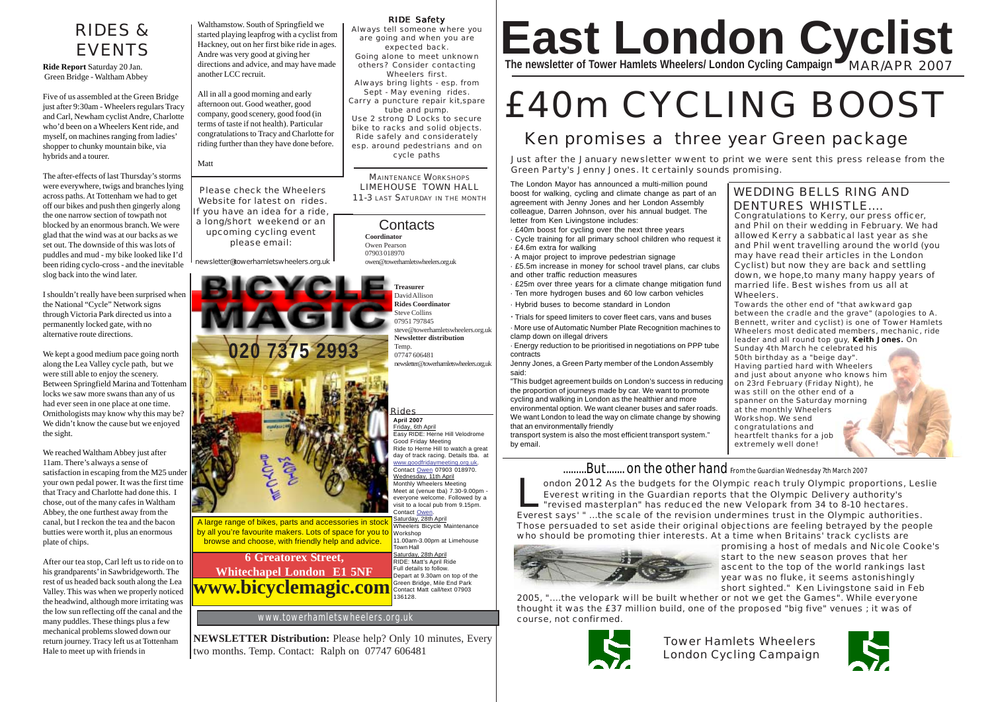## RIDES & **FVFNTS**

**Ride Report** Saturday 20 Jan. Green Bridge - Waltham Abbey

Five of us assembled at the Green Bridge just after 9:30am - Wheelers regulars Tracy and Carl, Newham cyclist Andre, Charlotte who'd been on a Wheelers Kent ride, and myself, on machines ranging from ladies' shopper to chunky mountain bike, via hybrids and a tourer.

The after-effects of last Thursday's storms were everywhere, twigs and branches lying across paths. At Tottenham we had to get off our bikes and push then gingerly along the one narrow section of towpath not blocked by an enormous branch. We were glad that the wind was at our backs as we set out. The downside of this was lots of puddles and mud - my bike looked like I'd been riding cyclo-cross - and the inevitable slog back into the wind later.

I shouldn't really have been surprised when the National "Cycle" Network signs through Victoria Park directed us into a permanently locked gate, with no alternative route directions.

We kept a good medium pace going north along the Lea Valley cycle path, but we were still able to enjoy the scenery. Between Springfield Marina and Tottenham locks we saw more swans than any of us had ever seen in one place at one time. Ornithologists may know why this may be? We didn't know the cause but we enjoyed the sight.

We reached Waltham Abbey just after 11am. There's always a sense of satisfaction in escaping from the M25 under your own pedal power. It was the first time that Tracy and Charlotte had done this. I chose, out of the many cafes in Waltham Abbey, the one furthest away from the canal, but I reckon the tea and the bacon butties were worth it, plus an enormous plate of chips.

After our tea stop, Carl left us to ride on to his grandparents' in Sawbridgeworth. The rest of us headed back south along the Lea Valley. This was when we properly noticed the headwind, although more irritating was the low sun reflecting off the canal and the many puddles. These things plus a few mechanical problems slowed down our return journey. Tracy left us at Tottenham Hale to meet up with friends in

Walthamstow. South of Springfield we started playing leapfrog with a cyclist from Hackney, out on her first bike ride in ages. Andre was very good at giving her directions and advice, and may have made another LCC recruit.

All in all a good morning and early afternoon out. Good weather, good company, good scenery, good food (in terms of taste if not health). Particular congratulations to Tracy and Charlotte for riding further than they have done before.

Please check the Wheelers Website for latest on rides. If you have an idea for a ride, a long/short weekend or an upcoming cycling event please email:

newsletter@towerhamletswheelers.org.uk



#### RIDE Safety

Always tell someone where you are going and when you are expected back. Going alone to meet unknown others? Consider contacting Wheelers first. Always bring lights - esp. from Sept - May evening rides. Carry a puncture repair kit,spare tube and pump. Use 2 strong D Locks to secure

bike to racks and solid objects. Ride safely and considerately esp. around pedestrians and on cycle paths

MAINTENANCE WORKSHOPS LIMEHOUSE TOWN HALL 11-3 LAST SATURDAY IN THE MONTH

**Contacts Coordinator** Owen Pearson 07903 018970 owen@towerhamletswheelers.org.uk

> **Treasurer** David Allison **Rides Coordinator** Steve Collins 07951 797845 steve@towerhamletswheelers.org.uk **Newsletter distribution** Temp. 07747 606481 newsletter@towerhamletswheelers.org.uk

**April 2007** Rides

Friday, 6th April Easy RIDE: Herne Hill Velodrome Good Friday Meeting Ride to Herne Hill to watch a great day of track racing. Details tba. at www.goodfridaymeeting.org.uk. Contact Owen 07903 018970. Wednesday, 11th April Monthly Wheelers Meeting Meet at (venue tba) 7.30-9.00pm everyone welcome. Followed by a visit to a local pub from 9.15pm. Contact Owen. Saturday, 28th April

Wheelers Bicycle Maintenance Workshop 11.00am-3.00pm at Limehouse Town Hall Saturday, 28th April RIDE: Matt's April Ride Full details to follow.

Depart at 9.30am on top of the Green Bridge, Mile End Park Contact Matt call/text 07903 136128.

www.towerhamletswheelers.org.uk

**NEWSLETTER Distribution:** Please help? Only 10 minutes, Every two months. Temp. Contact: Ralph on 07747 606481

# **East London Cyclist The newsletter of Tower Hamlets Wheelers/ London Cycling Campaign** MAR/APR 2007

# £40m CYCLING BOOST

## Ken promises a three year Green package

Matt Matt January newsletter wwent to print we were sent this press release from the Green Party's Jenny Jones. It certainly sounds promising.

> The London Mayor has announced a multi-million pound boost for walking, cycling and climate change as part of an agreement with Jenny Jones and her London Assembly colleague, Darren Johnson, over his annual budget. The letter from Ken Livingstone includes:

· £40m boost for cycling over the next three years

· Cycle training for all primary school children who request it · £4.6m extra for walking

- · A major project to improve pedestrian signage
- · £5.5m increase in money for school travel plans, car clubs and other traffic reduction measures
- · £25m over three years for a climate change mitigation fund · Ten more hydrogen buses and 60 low carbon vehicles
- · Hybrid buses to become standard in London
- · Trials for speed limiters to cover fleet cars, vans and buses

· More use of Automatic Number Plate Recognition machines to clamp down on illegal drivers

· Energy reduction to be prioritised in negotiations on PPP tube contracts

Jenny Jones, a Green Party member of the London Assembly said:

"This budget agreement builds on London's success in reducing the proportion of journeys made by car. We want to promote cycling and walking in London as the healthier and more environmental option. We want cleaner buses and safer roads. We want London to lead the way on climate change by showing that an environmentally friendly transport system is also the most efficient transport system."

by email.

## WEDDING BELLS RING AND DENTURES WHISTLE

Congratulations to Kerry, our press officer, and Phil on their wedding in February. We had allowed Kerry a sabbatical last year as she and Phil went travelling around the world (you may have read their articles in the London Cyclist) but now they are back and settling down, we hope,to many many happy years of married life. Best wishes from us all at Wheelers.

Towards the other end of "that awkward gap between the cradle and the grave" (apologies to A. Bennett, writer and cyclist) is one of Tower Hamlets Wheelers most dedicated members, mechanic, ride leader and all round top guy, Keith Jones. On Sunday 4th March he celebrated his 50th birthday as a "beige day". Having partied hard with Wheelers and just about anyone who knows him on 23rd February (Friday Night), he was still on the other end of a spanner on the Saturday morning at the monthly Wheelers Workshop. We send congratulations and heartfelt thanks for a job extremely well done!

## .........But....... on the other hand From the Guardian Wednesday 7th March 2007

London 2012 As the budgets for the Olympic reach truly Olympic proportions, Leslie Everest writing in the Guardian reports that the Olympic Delivery authority's "revised masterplan" has reduced the new Velopark from 34 to 8-10 hectares. Everest says' " ...the scale of the revision undermines trust in the Olympic authorities. Those persuaded to set aside their original objections are feeling betrayed by the people who should be promoting thier interests. At a time when Britains' track cyclists are



promising a host of medals and Nicole Cooke's start to the new season proves that her ascent to the top of the world rankings last year was no fluke, it seems astonishingly short sighted." Ken Livingstone said in Feb

2005, "....the velopark will be built whether or not we get the Games". While everyone thought it was the £37 million build, one of the proposed "big five" venues ; it was of course, not confirmed.



Tower Hamlets Wheelers London Cycling Campaign